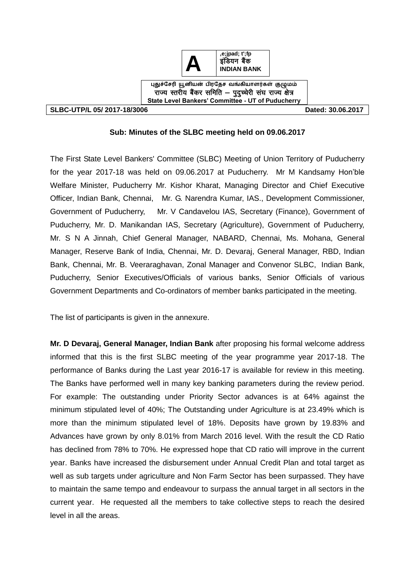

**SLBC-UTP/L 05/ 2017-18/3006 Dated: 30.06.2017** 

## **Sub: Minutes of the SLBC meeting held on 09.06.2017**

The First State Level Bankers' Committee (SLBC) Meeting of Union Territory of Puducherry for the year 2017-18 was held on 09.06.2017 at Puducherry. Mr M Kandsamy Hon'ble Welfare Minister, Puducherry Mr. Kishor Kharat, Managing Director and Chief Executive Officer, Indian Bank, Chennai, Mr. G. Narendra Kumar, IAS., Development Commissioner, Government of Puducherry, Mr. V Candavelou IAS, Secretary (Finance), Government of Puducherry, Mr. D. Manikandan IAS, Secretary (Agriculture), Government of Puducherry, Mr. S N A Jinnah, Chief General Manager, NABARD, Chennai, Ms. Mohana, General Manager, Reserve Bank of India, Chennai, Mr. D. Devaraj, General Manager, RBD, Indian Bank, Chennai, Mr. B. Veeraraghavan, Zonal Manager and Convenor SLBC, Indian Bank, Puducherry, Senior Executives/Officials of various banks, Senior Officials of various Government Departments and Co-ordinators of member banks participated in the meeting.

The list of participants is given in the annexure.

**Mr. D Devaraj, General Manager, Indian Bank** after proposing his formal welcome address informed that this is the first SLBC meeting of the year programme year 2017-18. The performance of Banks during the Last year 2016-17 is available for review in this meeting. The Banks have performed well in many key banking parameters during the review period. For example: The outstanding under Priority Sector advances is at 64% against the minimum stipulated level of 40%; The Outstanding under Agriculture is at 23.49% which is more than the minimum stipulated level of 18%. Deposits have grown by 19.83% and Advances have grown by only 8.01% from March 2016 level. With the result the CD Ratio has declined from 78% to 70%. He expressed hope that CD ratio will improve in the current year. Banks have increased the disbursement under Annual Credit Plan and total target as well as sub targets under agriculture and Non Farm Sector has been surpassed. They have to maintain the same tempo and endeavour to surpass the annual target in all sectors in the current year. He requested all the members to take collective steps to reach the desired level in all the areas.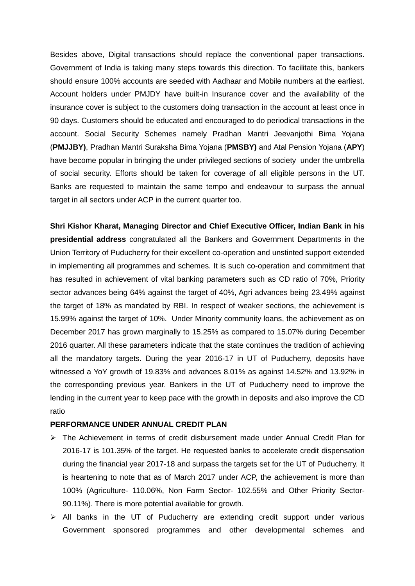Besides above, Digital transactions should replace the conventional paper transactions. Government of India is taking many steps towards this direction. To facilitate this, bankers should ensure 100% accounts are seeded with Aadhaar and Mobile numbers at the earliest. Account holders under PMJDY have built-in Insurance cover and the availability of the insurance cover is subject to the customers doing transaction in the account at least once in 90 days. Customers should be educated and encouraged to do periodical transactions in the account. Social Security Schemes namely Pradhan Mantri Jeevanjothi Bima Yojana (**PMJJBY)**, Pradhan Mantri Suraksha Bima Yojana (**PMSBY)** and Atal Pension Yojana (**APY**) have become popular in bringing the under privileged sections of society under the umbrella of social security. Efforts should be taken for coverage of all eligible persons in the UT. Banks are requested to maintain the same tempo and endeavour to surpass the annual target in all sectors under ACP in the current quarter too.

**Shri Kishor Kharat, Managing Director and Chief Executive Officer, Indian Bank in his presidential address** congratulated all the Bankers and Government Departments in the Union Territory of Puducherry for their excellent co-operation and unstinted support extended in implementing all programmes and schemes. It is such co-operation and commitment that has resulted in achievement of vital banking parameters such as CD ratio of 70%, Priority sector advances being 64% against the target of 40%, Agri advances being 23.49% against the target of 18% as mandated by RBI. In respect of weaker sections, the achievement is 15.99% against the target of 10%. Under Minority community loans, the achievement as on December 2017 has grown marginally to 15.25% as compared to 15.07% during December 2016 quarter. All these parameters indicate that the state continues the tradition of achieving all the mandatory targets. During the year 2016-17 in UT of Puducherry, deposits have witnessed a YoY growth of 19.83% and advances 8.01% as against 14.52% and 13.92% in the corresponding previous year. Bankers in the UT of Puducherry need to improve the lending in the current year to keep pace with the growth in deposits and also improve the CD ratio

## **PERFORMANCE UNDER ANNUAL CREDIT PLAN**

- $\triangleright$  The Achievement in terms of credit disbursement made under Annual Credit Plan for 2016-17 is 101.35% of the target. He requested banks to accelerate credit dispensation during the financial year 2017-18 and surpass the targets set for the UT of Puducherry. It is heartening to note that as of March 2017 under ACP, the achievement is more than 100% (Agriculture- 110.06%, Non Farm Sector- 102.55% and Other Priority Sector-90.11%). There is more potential available for growth.
- $\triangleright$  All banks in the UT of Puducherry are extending credit support under various Government sponsored programmes and other developmental schemes and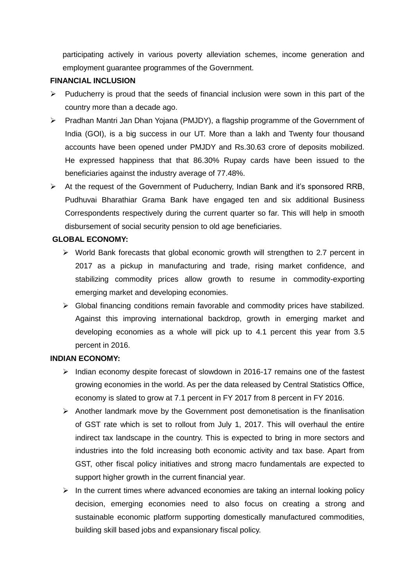participating actively in various poverty alleviation schemes, income generation and employment guarantee programmes of the Government.

## **FINANCIAL INCLUSION**

- $\triangleright$  Puducherry is proud that the seeds of financial inclusion were sown in this part of the country more than a decade ago.
- Pradhan Mantri Jan Dhan Yojana (PMJDY), a flagship programme of the Government of India (GOI), is a big success in our UT. More than a lakh and Twenty four thousand accounts have been opened under PMJDY and Rs.30.63 crore of deposits mobilized. He expressed happiness that that 86.30% Rupay cards have been issued to the beneficiaries against the industry average of 77.48%.
- $\triangleright$  At the request of the Government of Puducherry, Indian Bank and it's sponsored RRB, Pudhuvai Bharathiar Grama Bank have engaged ten and six additional Business Correspondents respectively during the current quarter so far. This will help in smooth disbursement of social security pension to old age beneficiaries.

## **GLOBAL ECONOMY:**

- $\triangleright$  World Bank forecasts that global economic growth will strengthen to 2.7 percent in 2017 as a pickup in manufacturing and trade, rising market confidence, and stabilizing commodity prices allow growth to resume in commodity-exporting emerging market and developing economies.
- $\triangleright$  Global financing conditions remain favorable and commodity prices have stabilized. Against this improving international backdrop, growth in emerging market and developing economies as a whole will pick up to 4.1 percent this year from 3.5 percent in 2016.

#### **INDIAN ECONOMY:**

- $\triangleright$  Indian economy despite forecast of slowdown in 2016-17 remains one of the fastest growing economies in the world. As per the data released by Central Statistics Office, economy is slated to grow at 7.1 percent in FY 2017 from 8 percent in FY 2016.
- $\triangleright$  Another landmark move by the Government post demonetisation is the finanlisation of GST rate which is set to rollout from July 1, 2017. This will overhaul the entire indirect tax landscape in the country. This is expected to bring in more sectors and industries into the fold increasing both economic activity and tax base. Apart from GST, other fiscal policy initiatives and strong macro fundamentals are expected to support higher growth in the current financial year.
- $\triangleright$  In the current times where advanced economies are taking an internal looking policy decision, emerging economies need to also focus on creating a strong and sustainable economic platform supporting domestically manufactured commodities, building skill based jobs and expansionary fiscal policy.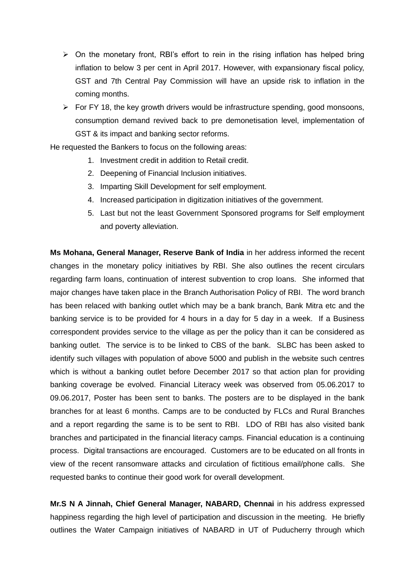- $\triangleright$  On the monetary front, RBI's effort to rein in the rising inflation has helped bring inflation to below 3 per cent in April 2017. However, with expansionary fiscal policy, GST and 7th Central Pay Commission will have an upside risk to inflation in the coming months.
- $\triangleright$  For FY 18, the key growth drivers would be infrastructure spending, good monsoons, consumption demand revived back to pre demonetisation level, implementation of GST & its impact and banking sector reforms.

He requested the Bankers to focus on the following areas:

- 1. Investment credit in addition to Retail credit.
- 2. Deepening of Financial Inclusion initiatives.
- 3. Imparting Skill Development for self employment.
- 4. Increased participation in digitization initiatives of the government.
- 5. Last but not the least Government Sponsored programs for Self employment and poverty alleviation.

**Ms Mohana, General Manager, Reserve Bank of India** in her address informed the recent changes in the monetary policy initiatives by RBI. She also outlines the recent circulars regarding farm loans, continuation of interest subvention to crop loans. She informed that major changes have taken place in the Branch Authorisation Policy of RBI. The word branch has been relaced with banking outlet which may be a bank branch, Bank Mitra etc and the banking service is to be provided for 4 hours in a day for 5 day in a week. If a Business correspondent provides service to the village as per the policy than it can be considered as banking outlet. The service is to be linked to CBS of the bank. SLBC has been asked to identify such villages with population of above 5000 and publish in the website such centres which is without a banking outlet before December 2017 so that action plan for providing banking coverage be evolved. Financial Literacy week was observed from 05.06.2017 to 09.06.2017, Poster has been sent to banks. The posters are to be displayed in the bank branches for at least 6 months. Camps are to be conducted by FLCs and Rural Branches and a report regarding the same is to be sent to RBI. LDO of RBI has also visited bank branches and participated in the financial literacy camps. Financial education is a continuing process. Digital transactions are encouraged. Customers are to be educated on all fronts in view of the recent ransomware attacks and circulation of fictitious email/phone calls. She requested banks to continue their good work for overall development.

**Mr.S N A Jinnah, Chief General Manager, NABARD, Chennai** in his address expressed happiness regarding the high level of participation and discussion in the meeting. He briefly outlines the Water Campaign initiatives of NABARD in UT of Puducherry through which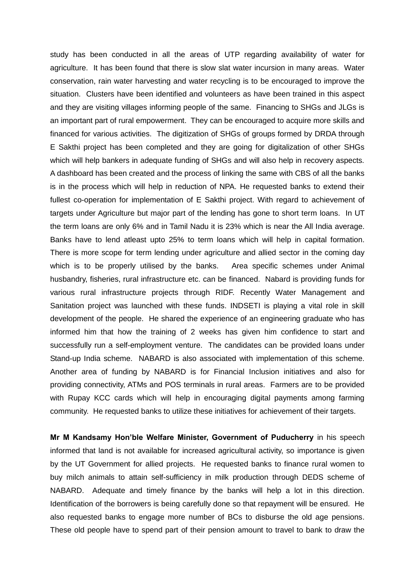study has been conducted in all the areas of UTP regarding availability of water for agriculture. It has been found that there is slow slat water incursion in many areas. Water conservation, rain water harvesting and water recycling is to be encouraged to improve the situation. Clusters have been identified and volunteers as have been trained in this aspect and they are visiting villages informing people of the same. Financing to SHGs and JLGs is an important part of rural empowerment. They can be encouraged to acquire more skills and financed for various activities. The digitization of SHGs of groups formed by DRDA through E Sakthi project has been completed and they are going for digitalization of other SHGs which will help bankers in adequate funding of SHGs and will also help in recovery aspects. A dashboard has been created and the process of linking the same with CBS of all the banks is in the process which will help in reduction of NPA. He requested banks to extend their fullest co-operation for implementation of E Sakthi project. With regard to achievement of targets under Agriculture but major part of the lending has gone to short term loans. In UT the term loans are only 6% and in Tamil Nadu it is 23% which is near the All India average. Banks have to lend atleast upto 25% to term loans which will help in capital formation. There is more scope for term lending under agriculture and allied sector in the coming day which is to be properly utilised by the banks. Area specific schemes under Animal husbandry, fisheries, rural infrastructure etc. can be financed. Nabard is providing funds for various rural infrastructure projects through RIDF. Recently Water Management and Sanitation project was launched with these funds. INDSETI is playing a vital role in skill development of the people. He shared the experience of an engineering graduate who has informed him that how the training of 2 weeks has given him confidence to start and successfully run a self-employment venture. The candidates can be provided loans under Stand-up India scheme. NABARD is also associated with implementation of this scheme. Another area of funding by NABARD is for Financial Inclusion initiatives and also for providing connectivity, ATMs and POS terminals in rural areas. Farmers are to be provided with Rupay KCC cards which will help in encouraging digital payments among farming community. He requested banks to utilize these initiatives for achievement of their targets.

**Mr M Kandsamy Hon'ble Welfare Minister, Government of Puducherry** in his speech informed that land is not available for increased agricultural activity, so importance is given by the UT Government for allied projects. He requested banks to finance rural women to buy milch animals to attain self-sufficiency in milk production through DEDS scheme of NABARD. Adequate and timely finance by the banks will help a lot in this direction. Identification of the borrowers is being carefully done so that repayment will be ensured. He also requested banks to engage more number of BCs to disburse the old age pensions. These old people have to spend part of their pension amount to travel to bank to draw the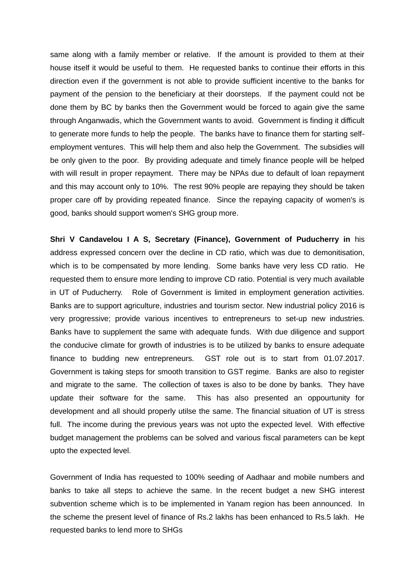same along with a family member or relative. If the amount is provided to them at their house itself it would be useful to them. He requested banks to continue their efforts in this direction even if the government is not able to provide sufficient incentive to the banks for payment of the pension to the beneficiary at their doorsteps. If the payment could not be done them by BC by banks then the Government would be forced to again give the same through Anganwadis, which the Government wants to avoid. Government is finding it difficult to generate more funds to help the people. The banks have to finance them for starting selfemployment ventures. This will help them and also help the Government. The subsidies will be only given to the poor. By providing adequate and timely finance people will be helped with will result in proper repayment. There may be NPAs due to default of loan repayment and this may account only to 10%. The rest 90% people are repaying they should be taken proper care off by providing repeated finance. Since the repaying capacity of women's is good, banks should support women's SHG group more.

**Shri V Candavelou I A S, Secretary (Finance), Government of Puducherry in** his address expressed concern over the decline in CD ratio, which was due to demonitisation, which is to be compensated by more lending. Some banks have very less CD ratio. He requested them to ensure more lending to improve CD ratio. Potential is very much available in UT of Puducherry. Role of Government is limited in employment generation activities. Banks are to support agriculture, industries and tourism sector. New industrial policy 2016 is very progressive; provide various incentives to entrepreneurs to set-up new industries. Banks have to supplement the same with adequate funds. With due diligence and support the conducive climate for growth of industries is to be utilized by banks to ensure adequate finance to budding new entrepreneurs. GST role out is to start from 01.07.2017. Government is taking steps for smooth transition to GST regime. Banks are also to register and migrate to the same. The collection of taxes is also to be done by banks. They have update their software for the same. This has also presented an oppourtunity for development and all should properly utilse the same. The financial situation of UT is stress full. The income during the previous years was not upto the expected level. With effective budget management the problems can be solved and various fiscal parameters can be kept upto the expected level.

Government of India has requested to 100% seeding of Aadhaar and mobile numbers and banks to take all steps to achieve the same. In the recent budget a new SHG interest subvention scheme which is to be implemented in Yanam region has been announced. In the scheme the present level of finance of Rs.2 lakhs has been enhanced to Rs.5 lakh. He requested banks to lend more to SHGs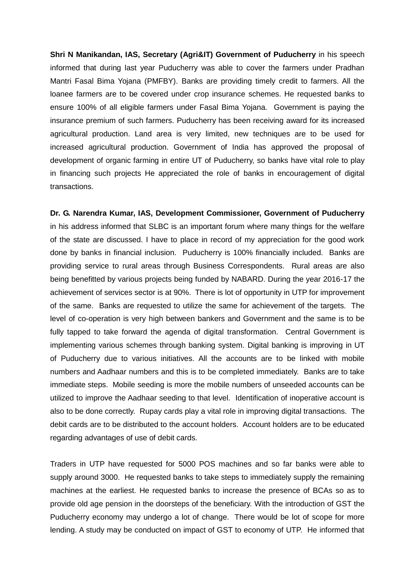**Shri N Manikandan, IAS, Secretary (Agri&IT) Government of Puducherry** in his speech informed that during last year Puducherry was able to cover the farmers under Pradhan Mantri Fasal Bima Yojana (PMFBY). Banks are providing timely credit to farmers. All the loanee farmers are to be covered under crop insurance schemes. He requested banks to ensure 100% of all eligible farmers under Fasal Bima Yojana. Government is paying the insurance premium of such farmers. Puducherry has been receiving award for its increased agricultural production. Land area is very limited, new techniques are to be used for increased agricultural production. Government of India has approved the proposal of development of organic farming in entire UT of Puducherry, so banks have vital role to play in financing such projects He appreciated the role of banks in encouragement of digital transactions.

**Dr. G. Narendra Kumar, IAS, Development Commissioner, Government of Puducherry**  in his address informed that SLBC is an important forum where many things for the welfare of the state are discussed. I have to place in record of my appreciation for the good work done by banks in financial inclusion. Puducherry is 100% financially included. Banks are providing service to rural areas through Business Correspondents. Rural areas are also being benefitted by various projects being funded by NABARD. During the year 2016-17 the achievement of services sector is at 90%. There is lot of opportunity in UTP for improvement of the same. Banks are requested to utilize the same for achievement of the targets. The level of co-operation is very high between bankers and Government and the same is to be fully tapped to take forward the agenda of digital transformation. Central Government is implementing various schemes through banking system. Digital banking is improving in UT of Puducherry due to various initiatives. All the accounts are to be linked with mobile numbers and Aadhaar numbers and this is to be completed immediately. Banks are to take immediate steps. Mobile seeding is more the mobile numbers of unseeded accounts can be utilized to improve the Aadhaar seeding to that level. Identification of inoperative account is also to be done correctly. Rupay cards play a vital role in improving digital transactions. The debit cards are to be distributed to the account holders. Account holders are to be educated regarding advantages of use of debit cards.

Traders in UTP have requested for 5000 POS machines and so far banks were able to supply around 3000. He requested banks to take steps to immediately supply the remaining machines at the earliest. He requested banks to increase the presence of BCAs so as to provide old age pension in the doorsteps of the beneficiary. With the introduction of GST the Puducherry economy may undergo a lot of change. There would be lot of scope for more lending. A study may be conducted on impact of GST to economy of UTP. He informed that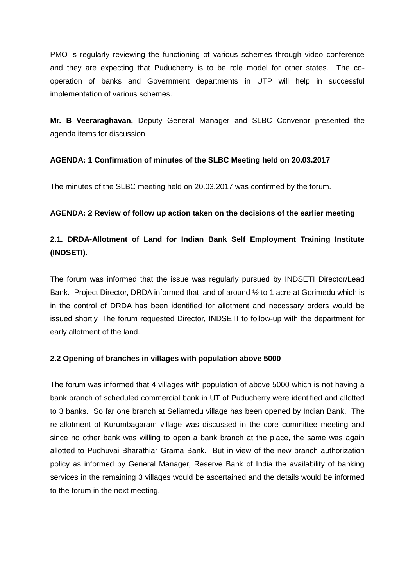PMO is regularly reviewing the functioning of various schemes through video conference and they are expecting that Puducherry is to be role model for other states. The cooperation of banks and Government departments in UTP will help in successful implementation of various schemes.

**Mr. B Veeraraghavan,** Deputy General Manager and SLBC Convenor presented the agenda items for discussion

## **AGENDA: 1 Confirmation of minutes of the SLBC Meeting held on 20.03.2017**

The minutes of the SLBC meeting held on 20.03.2017 was confirmed by the forum.

## **AGENDA: 2 Review of follow up action taken on the decisions of the earlier meeting**

# **2.1. DRDA-Allotment of Land for Indian Bank Self Employment Training Institute (INDSETI).**

The forum was informed that the issue was regularly pursued by INDSETI Director/Lead Bank. Project Director, DRDA informed that land of around ½ to 1 acre at Gorimedu which is in the control of DRDA has been identified for allotment and necessary orders would be issued shortly. The forum requested Director, INDSETI to follow-up with the department for early allotment of the land.

## **2.2 Opening of branches in villages with population above 5000**

The forum was informed that 4 villages with population of above 5000 which is not having a bank branch of scheduled commercial bank in UT of Puducherry were identified and allotted to 3 banks. So far one branch at Seliamedu village has been opened by Indian Bank. The re-allotment of Kurumbagaram village was discussed in the core committee meeting and since no other bank was willing to open a bank branch at the place, the same was again allotted to Pudhuvai Bharathiar Grama Bank. But in view of the new branch authorization policy as informed by General Manager, Reserve Bank of India the availability of banking services in the remaining 3 villages would be ascertained and the details would be informed to the forum in the next meeting.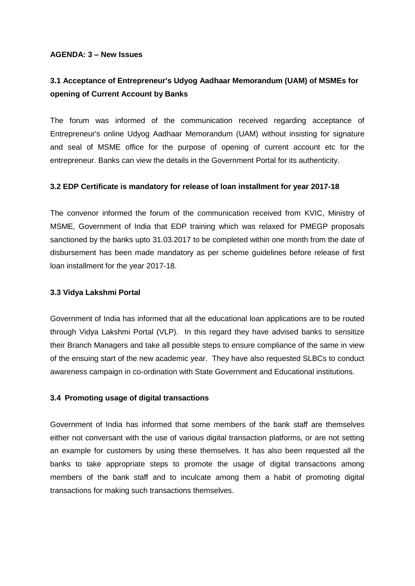#### **AGENDA: 3 – New Issues**

# **3.1 Acceptance of Entrepreneur's Udyog Aadhaar Memorandum (UAM) of MSMEs for opening of Current Account by Banks**

The forum was informed of the communication received regarding acceptance of Entrepreneur's online Udyog Aadhaar Memorandum (UAM) without insisting for signature and seal of MSME office for the purpose of opening of current account etc for the entrepreneur. Banks can view the details in the Government Portal for its authenticity.

## **3.2 EDP Certificate is mandatory for release of loan installment for year 2017-18**

The convenor informed the forum of the communication received from KVIC, Ministry of MSME, Government of India that EDP training which was relaxed for PMEGP proposals sanctioned by the banks upto 31.03.2017 to be completed within one month from the date of disbursement has been made mandatory as per scheme guidelines before release of first loan installment for the year 2017-18.

### **3.3 Vidya Lakshmi Portal**

Government of India has informed that all the educational loan applications are to be routed through Vidya Lakshmi Portal (VLP). In this regard they have advised banks to sensitize their Branch Managers and take all possible steps to ensure compliance of the same in view of the ensuing start of the new academic year. They have also requested SLBCs to conduct awareness campaign in co-ordination with State Government and Educational institutions.

## **3.4 Promoting usage of digital transactions**

Government of India has informed that some members of the bank staff are themselves either not conversant with the use of various digital transaction platforms, or are not setting an example for customers by using these themselves. It has also been requested all the banks to take appropriate steps to promote the usage of digital transactions among members of the bank staff and to inculcate among them a habit of promoting digital transactions for making such transactions themselves.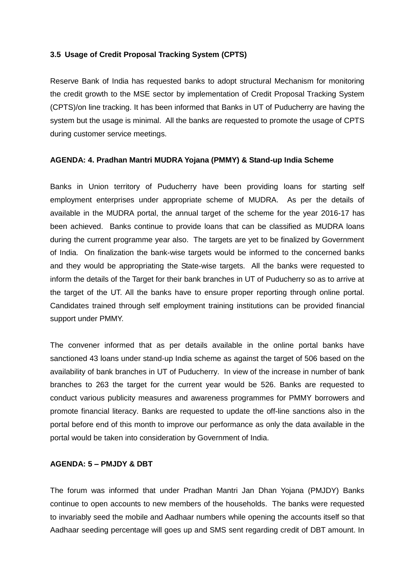#### **3.5 Usage of Credit Proposal Tracking System (CPTS)**

Reserve Bank of India has requested banks to adopt structural Mechanism for monitoring the credit growth to the MSE sector by implementation of Credit Proposal Tracking System (CPTS)/on line tracking. It has been informed that Banks in UT of Puducherry are having the system but the usage is minimal. All the banks are requested to promote the usage of CPTS during customer service meetings.

### **AGENDA: 4. Pradhan Mantri MUDRA Yojana (PMMY) & Stand-up India Scheme**

Banks in Union territory of Puducherry have been providing loans for starting self employment enterprises under appropriate scheme of MUDRA. As per the details of available in the MUDRA portal, the annual target of the scheme for the year 2016-17 has been achieved. Banks continue to provide loans that can be classified as MUDRA loans during the current programme year also. The targets are yet to be finalized by Government of India. On finalization the bank-wise targets would be informed to the concerned banks and they would be appropriating the State-wise targets. All the banks were requested to inform the details of the Target for their bank branches in UT of Puducherry so as to arrive at the target of the UT. All the banks have to ensure proper reporting through online portal. Candidates trained through self employment training institutions can be provided financial support under PMMY.

The convener informed that as per details available in the online portal banks have sanctioned 43 loans under stand-up India scheme as against the target of 506 based on the availability of bank branches in UT of Puducherry. In view of the increase in number of bank branches to 263 the target for the current year would be 526. Banks are requested to conduct various publicity measures and awareness programmes for PMMY borrowers and promote financial literacy. Banks are requested to update the off-line sanctions also in the portal before end of this month to improve our performance as only the data available in the portal would be taken into consideration by Government of India.

## **AGENDA: 5 – PMJDY & DBT**

The forum was informed that under Pradhan Mantri Jan Dhan Yojana (PMJDY) Banks continue to open accounts to new members of the households. The banks were requested to invariably seed the mobile and Aadhaar numbers while opening the accounts itself so that Aadhaar seeding percentage will goes up and SMS sent regarding credit of DBT amount. In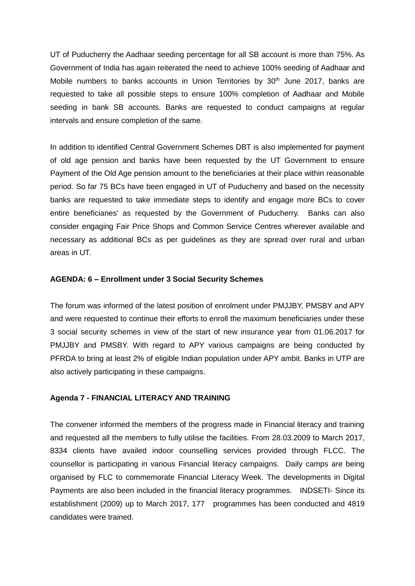UT of Puducherry the Aadhaar seeding percentage for all SB account is more than 75%. As Government of India has again reiterated the need to achieve 100% seeding of Aadhaar and Mobile numbers to banks accounts in Union Territories by 30<sup>th</sup> June 2017, banks are requested to take all possible steps to ensure 100% completion of Aadhaar and Mobile seeding in bank SB accounts. Banks are requested to conduct campaigns at regular intervals and ensure completion of the same.

In addition to identified Central Government Schemes DBT is also implemented for payment of old age pension and banks have been requested by the UT Government to ensure Payment of the Old Age pension amount to the beneficiaries at their place within reasonable period. So far 75 BCs have been engaged in UT of Puducherry and based on the necessity banks are requested to take immediate steps to identify and engage more BCs to cover entire beneficiaries' as requested by the Government of Puducherry. Banks can also consider engaging Fair Price Shops and Common Service Centres wherever available and necessary as additional BCs as per guidelines as they are spread over rural and urban areas in UT.

#### **AGENDA: 6 – Enrollment under 3 Social Security Schemes**

The forum was informed of the latest position of enrolment under PMJJBY, PMSBY and APY and were requested to continue their efforts to enroll the maximum beneficiaries under these 3 social security schemes in view of the start of new insurance year from 01.06.2017 for PMJJBY and PMSBY. With regard to APY various campaigns are being conducted by PFRDA to bring at least 2% of eligible Indian population under APY ambit. Banks in UTP are also actively participating in these campaigns.

#### **Agenda 7 - FINANCIAL LITERACY AND TRAINING**

The convener informed the members of the progress made in Financial literacy and training and requested all the members to fully utilise the facilities. From 28.03.2009 to March 2017, 8334 clients have availed indoor counselling services provided through FLCC. The counsellor is participating in various Financial literacy campaigns. Daily camps are being organised by FLC to commemorate Financial Literacy Week. The developments in Digital Payments are also been included in the financial literacy programmes. INDSETI- Since its establishment (2009) up to March 2017, 177 programmes has been conducted and 4819 candidates were trained.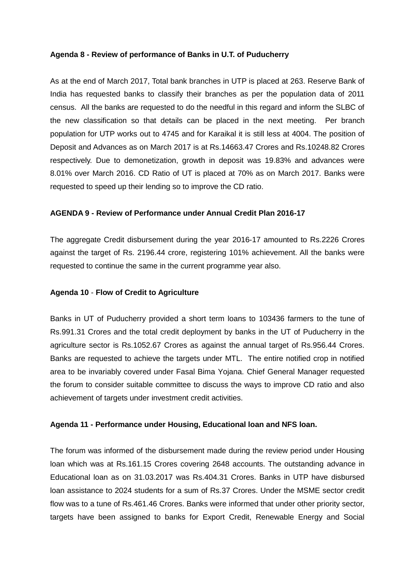#### **Agenda 8 - Review of performance of Banks in U.T. of Puducherry**

As at the end of March 2017, Total bank branches in UTP is placed at 263. Reserve Bank of India has requested banks to classify their branches as per the population data of 2011 census. All the banks are requested to do the needful in this regard and inform the SLBC of the new classification so that details can be placed in the next meeting. Per branch population for UTP works out to 4745 and for Karaikal it is still less at 4004. The position of Deposit and Advances as on March 2017 is at Rs.14663.47 Crores and Rs.10248.82 Crores respectively. Due to demonetization, growth in deposit was 19.83% and advances were 8.01% over March 2016. CD Ratio of UT is placed at 70% as on March 2017. Banks were requested to speed up their lending so to improve the CD ratio.

## **AGENDA 9 - Review of Performance under Annual Credit Plan 2016-17**

The aggregate Credit disbursement during the year 2016-17 amounted to Rs.2226 Crores against the target of Rs. 2196.44 crore, registering 101% achievement. All the banks were requested to continue the same in the current programme year also.

#### **Agenda 10** - **Flow of Credit to Agriculture**

Banks in UT of Puducherry provided a short term loans to 103436 farmers to the tune of Rs.991.31 Crores and the total credit deployment by banks in the UT of Puducherry in the agriculture sector is Rs.1052.67 Crores as against the annual target of Rs.956.44 Crores. Banks are requested to achieve the targets under MTL. The entire notified crop in notified area to be invariably covered under Fasal Bima Yojana. Chief General Manager requested the forum to consider suitable committee to discuss the ways to improve CD ratio and also achievement of targets under investment credit activities.

#### **Agenda 11 - Performance under Housing, Educational loan and NFS loan.**

The forum was informed of the disbursement made during the review period under Housing loan which was at Rs.161.15 Crores covering 2648 accounts. The outstanding advance in Educational loan as on 31.03.2017 was Rs.404.31 Crores. Banks in UTP have disbursed loan assistance to 2024 students for a sum of Rs.37 Crores. Under the MSME sector credit flow was to a tune of Rs.461.46 Crores. Banks were informed that under other priority sector, targets have been assigned to banks for Export Credit, Renewable Energy and Social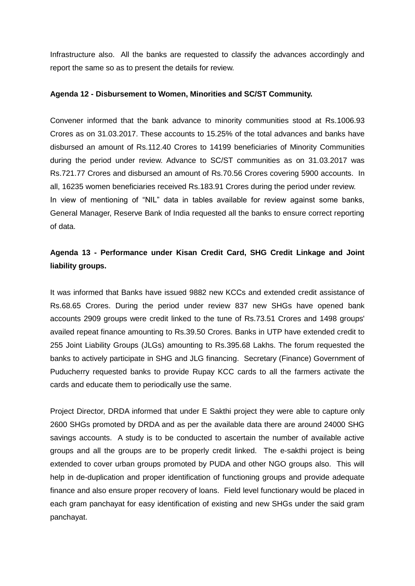Infrastructure also. All the banks are requested to classify the advances accordingly and report the same so as to present the details for review.

### **Agenda 12 - Disbursement to Women, Minorities and SC/ST Community.**

Convener informed that the bank advance to minority communities stood at Rs.1006.93 Crores as on 31.03.2017. These accounts to 15.25% of the total advances and banks have disbursed an amount of Rs.112.40 Crores to 14199 beneficiaries of Minority Communities during the period under review. Advance to SC/ST communities as on 31.03.2017 was Rs.721.77 Crores and disbursed an amount of Rs.70.56 Crores covering 5900 accounts. In all, 16235 women beneficiaries received Rs.183.91 Crores during the period under review. In view of mentioning of "NIL" data in tables available for review against some banks, General Manager, Reserve Bank of India requested all the banks to ensure correct reporting of data.

## **Agenda 13 - Performance under Kisan Credit Card, SHG Credit Linkage and Joint liability groups.**

It was informed that Banks have issued 9882 new KCCs and extended credit assistance of Rs.68.65 Crores. During the period under review 837 new SHGs have opened bank accounts 2909 groups were credit linked to the tune of Rs.73.51 Crores and 1498 groups' availed repeat finance amounting to Rs.39.50 Crores. Banks in UTP have extended credit to 255 Joint Liability Groups (JLGs) amounting to Rs.395.68 Lakhs. The forum requested the banks to actively participate in SHG and JLG financing. Secretary (Finance) Government of Puducherry requested banks to provide Rupay KCC cards to all the farmers activate the cards and educate them to periodically use the same.

Project Director, DRDA informed that under E Sakthi project they were able to capture only 2600 SHGs promoted by DRDA and as per the available data there are around 24000 SHG savings accounts. A study is to be conducted to ascertain the number of available active groups and all the groups are to be properly credit linked. The e-sakthi project is being extended to cover urban groups promoted by PUDA and other NGO groups also. This will help in de-duplication and proper identification of functioning groups and provide adequate finance and also ensure proper recovery of loans. Field level functionary would be placed in each gram panchayat for easy identification of existing and new SHGs under the said gram panchayat.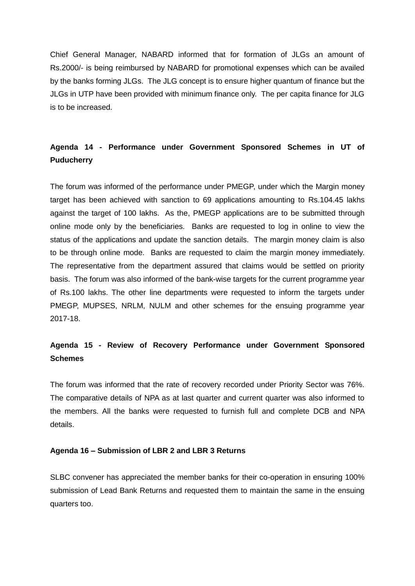Chief General Manager, NABARD informed that for formation of JLGs an amount of Rs.2000/- is being reimbursed by NABARD for promotional expenses which can be availed by the banks forming JLGs. The JLG concept is to ensure higher quantum of finance but the JLGs in UTP have been provided with minimum finance only. The per capita finance for JLG is to be increased.

## **Agenda 14 - Performance under Government Sponsored Schemes in UT of Puducherry**

The forum was informed of the performance under PMEGP, under which the Margin money target has been achieved with sanction to 69 applications amounting to Rs.104.45 lakhs against the target of 100 lakhs. As the, PMEGP applications are to be submitted through online mode only by the beneficiaries. Banks are requested to log in online to view the status of the applications and update the sanction details. The margin money claim is also to be through online mode. Banks are requested to claim the margin money immediately. The representative from the department assured that claims would be settled on priority basis. The forum was also informed of the bank-wise targets for the current programme year of Rs.100 lakhs. The other line departments were requested to inform the targets under PMEGP, MUPSES, NRLM, NULM and other schemes for the ensuing programme year 2017-18.

## **Agenda 15 - Review of Recovery Performance under Government Sponsored Schemes**

The forum was informed that the rate of recovery recorded under Priority Sector was 76%. The comparative details of NPA as at last quarter and current quarter was also informed to the members. All the banks were requested to furnish full and complete DCB and NPA details.

#### **Agenda 16 – Submission of LBR 2 and LBR 3 Returns**

SLBC convener has appreciated the member banks for their co-operation in ensuring 100% submission of Lead Bank Returns and requested them to maintain the same in the ensuing quarters too.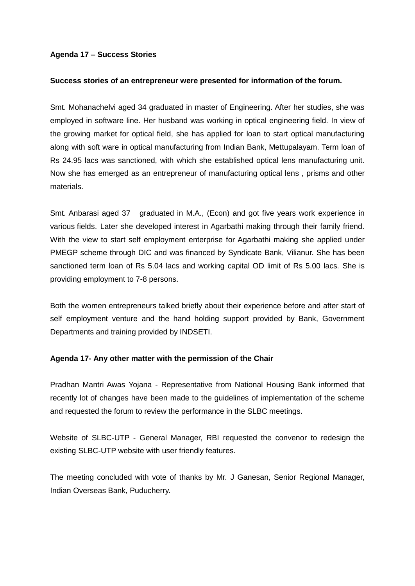### **Agenda 17 – Success Stories**

#### **Success stories of an entrepreneur were presented for information of the forum.**

Smt. Mohanachelvi aged 34 graduated in master of Engineering. After her studies, she was employed in software line. Her husband was working in optical engineering field. In view of the growing market for optical field, she has applied for loan to start optical manufacturing along with soft ware in optical manufacturing from Indian Bank, Mettupalayam. Term loan of Rs 24.95 lacs was sanctioned, with which she established optical lens manufacturing unit. Now she has emerged as an entrepreneur of manufacturing optical lens , prisms and other materials.

Smt. Anbarasi aged 37 graduated in M.A., (Econ) and got five years work experience in various fields. Later she developed interest in Agarbathi making through their family friend. With the view to start self employment enterprise for Agarbathi making she applied under PMEGP scheme through DIC and was financed by Syndicate Bank, Vilianur. She has been sanctioned term loan of Rs 5.04 lacs and working capital OD limit of Rs 5.00 lacs. She is providing employment to 7-8 persons.

Both the women entrepreneurs talked briefly about their experience before and after start of self employment venture and the hand holding support provided by Bank, Government Departments and training provided by INDSETI.

#### **Agenda 17- Any other matter with the permission of the Chair**

Pradhan Mantri Awas Yojana - Representative from National Housing Bank informed that recently lot of changes have been made to the guidelines of implementation of the scheme and requested the forum to review the performance in the SLBC meetings.

Website of SLBC-UTP - General Manager, RBI requested the convenor to redesign the existing SLBC-UTP website with user friendly features.

The meeting concluded with vote of thanks by Mr. J Ganesan, Senior Regional Manager, Indian Overseas Bank, Puducherry.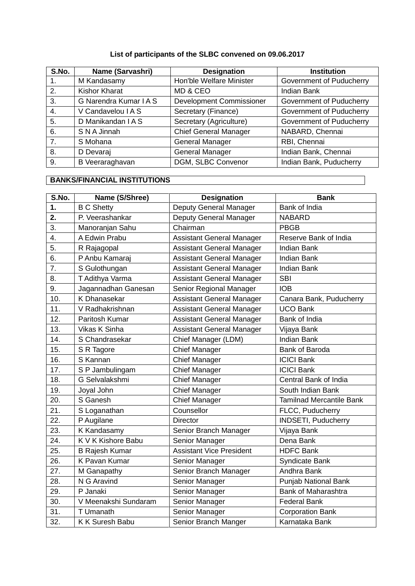## **List of participants of the SLBC convened on 09.06.2017**

| S.No. | Name (Sarvashri)     | <b>Designation</b>              | <b>Institution</b>       |
|-------|----------------------|---------------------------------|--------------------------|
|       | M Kandasamy          | Hon'ble Welfare Minister        | Government of Puducherry |
| 2.    | <b>Kishor Kharat</b> | MD & CEO                        | <b>Indian Bank</b>       |
| 3.    | G Narendra Kumar IAS | <b>Development Commissioner</b> | Government of Puducherry |
| 4.    | V Candavelou I A S   | Secretary (Finance)             | Government of Puducherry |
| 5.    | D Manikandan I A S   | Secretary (Agriculture)         | Government of Puducherry |
| 6.    | S N A Jinnah         | <b>Chief General Manager</b>    | NABARD, Chennai          |
| 7.    | S Mohana             | <b>General Manager</b>          | RBI, Chennai             |
| 8.    | D Devaraj            | <b>General Manager</b>          | Indian Bank, Chennai     |
| 9.    | B Veeraraghavan      | DGM, SLBC Convenor              | Indian Bank, Puducherry  |

## **BANKS/FINANCIAL INSTITUTIONS**

| S.No.         | Name (S/Shree)        | <b>Designation</b>               | <b>Bank</b>                     |
|---------------|-----------------------|----------------------------------|---------------------------------|
| $\mathbf 1$ . | <b>B C Shetty</b>     | Deputy General Manager           | Bank of India                   |
| 2.            | P. Veerashankar       | Deputy General Manager           | <b>NABARD</b>                   |
| 3.            | Manoranjan Sahu       | Chairman                         | <b>PBGB</b>                     |
| 4.            | A Edwin Prabu         | <b>Assistant General Manager</b> | Reserve Bank of India           |
| 5.            | R Rajagopal           | <b>Assistant General Manager</b> | <b>Indian Bank</b>              |
| 6.            | P Anbu Kamaraj        | <b>Assistant General Manager</b> | <b>Indian Bank</b>              |
| 7.            | S Gulothungan         | <b>Assistant General Manager</b> | <b>Indian Bank</b>              |
| 8.            | T Adithya Varma       | <b>Assistant General Manager</b> | <b>SBI</b>                      |
| 9.            | Jagannadhan Ganesan   | Senior Regional Manager          | <b>IOB</b>                      |
| 10.           | K Dhanasekar          | Assistant General Manager        | Canara Bank, Puducherry         |
| 11.           | V Radhakrishnan       | <b>Assistant General Manager</b> | <b>UCO Bank</b>                 |
| 12.           | Paritosh Kumar        | <b>Assistant General Manager</b> | Bank of India                   |
| 13.           | Vikas K Sinha         | <b>Assistant General Manager</b> | Vijaya Bank                     |
| 14.           | S Chandrasekar        | Chief Manager (LDM)              | <b>Indian Bank</b>              |
| 15.           | S R Tagore            | <b>Chief Manager</b>             | Bank of Baroda                  |
| 16.           | S Kannan              | <b>Chief Manager</b>             | <b>ICICI Bank</b>               |
| 17.           | S P Jambulingam       | <b>Chief Manager</b>             | <b>ICICI Bank</b>               |
| 18.           | G Selvalakshmi        | <b>Chief Manager</b>             | Central Bank of India           |
| 19.           | Joyal John            | <b>Chief Manager</b>             | South Indian Bank               |
| 20.           | S Ganesh              | <b>Chief Manager</b>             | <b>Tamilnad Mercantile Bank</b> |
| 21.           | S Loganathan          | Counsellor                       | FLCC, Puducherry                |
| 22.           | P Augilane            | <b>Director</b>                  | <b>INDSETI, Puducherry</b>      |
| 23.           | K Kandasamy           | Senior Branch Manager            | Vijaya Bank                     |
| 24.           | K V K Kishore Babu    | Senior Manager                   | Dena Bank                       |
| 25.           | <b>B Rajesh Kumar</b> | <b>Assistant Vice President</b>  | <b>HDFC Bank</b>                |
| 26.           | K Pavan Kumar         | Senior Manager                   | Syndicate Bank                  |
| 27.           | M Ganapathy           | Senior Branch Manager            | Andhra Bank                     |
| 28.           | N G Aravind           | Senior Manager                   | Punjab National Bank            |
| 29.           | P Janaki              | Senior Manager                   | <b>Bank of Maharashtra</b>      |
| 30.           | V Meenakshi Sundaram  | Senior Manager                   | <b>Federal Bank</b>             |
| 31.           | T Umanath             | Senior Manager                   | <b>Corporation Bank</b>         |
| 32.           | K K Suresh Babu       | Senior Branch Manger             | Karnataka Bank                  |